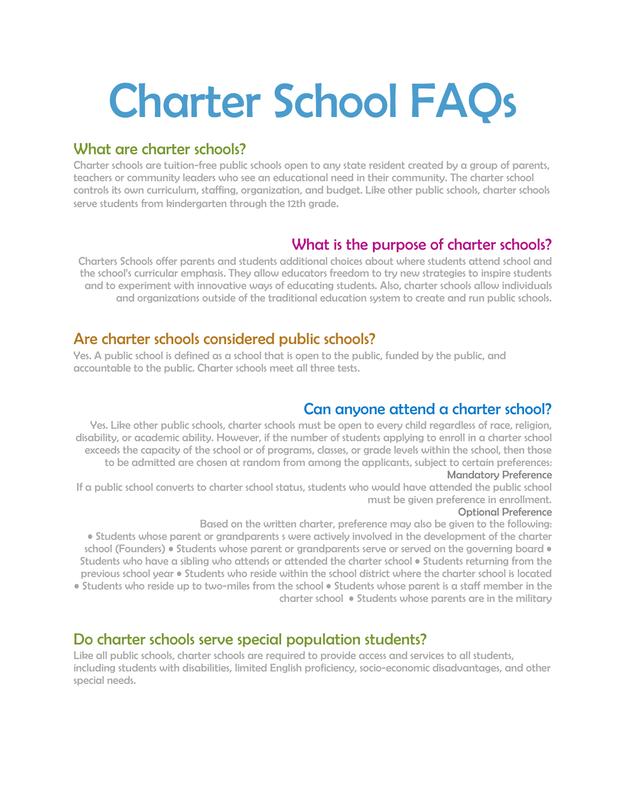# Charter School FAQs

# What are charter schools?

Charter schools are tuition-free public schools open to any state resident created by a group of parents, teachers or community leaders who see an educational need in their community. The charter school controls its own curriculum, staffing, organization, and budget. Like other public schools, charter schools serve students from kindergarten through the 12th grade.

# What is the purpose of charter schools?

Charters Schools offer parents and students additional choices about where students attend school and the school's curricular emphasis. They allow educators freedom to try new strategies to inspire students and to experiment with innovative ways of educating students. Also, charter schools allow individuals and organizations outside of the traditional education system to create and run public schools.

#### Are charter schools considered public schools?

Yes. A public school is defined as a school that is open to the public, funded by the public, and accountable to the public. Charter schools meet all three tests.

## Can anyone attend a charter school?

Yes. Like other public schools, charter schools must be open to every child regardless of race, religion, disability, or academic ability. However, if the number of students applying to enroll in a charter school exceeds the capacity of the school or of programs, classes, or grade levels within the school, then those to be admitted are chosen at random from among the applicants, subject to certain preferences: Mandatory Preference

If a public school converts to charter school status, students who would have attended the public school must be given preference in enrollment.

#### Optional Preference

Based on the written charter, preference may also be given to the following:

• Students whose parent or grandparents s were actively involved in the development of the charter school (Founders) • Students whose parent or grandparents serve or served on the governing board • Students who have a sibling who attends or attended the charter school • Students returning from the previous school year • Students who reside within the school district where the charter school is located • Students who reside up to two-miles from the school • Students whose parent is a staff member in the charter school • Students whose parents are in the military

### Do charter schools serve special population students?

Like all public schools, charter schools are required to provide access and services to all students, including students with disabilities, limited English proficiency, socio-economic disadvantages, and other special needs.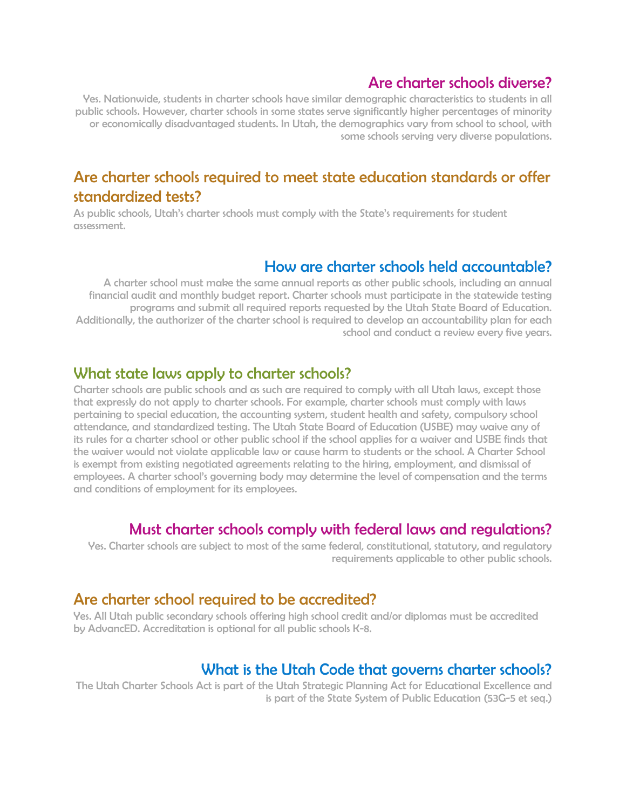### Are charter schools diverse?

Yes. Nationwide, students in charter schools have similar demographic characteristics to students in all public schools. However, charter schools in some states serve significantly higher percentages of minority or economically disadvantaged students. In Utah, the demographics vary from school to school, with some schools serving very diverse populations.

# Are charter schools required to meet state education standards or offer standardized tests?

As public schools, Utah's charter schools must comply with the State's requirements for student assessment.

#### How are charter schools held accountable?

A charter school must make the same annual reports as other public schools, including an annual financial audit and monthly budget report. Charter schools must participate in the statewide testing programs and submit all required reports requested by the Utah State Board of Education. Additionally, the authorizer of the charter school is required to develop an accountability plan for each school and conduct a review every five years.

#### What state laws apply to charter schools?

Charter schools are public schools and as such are required to comply with all Utah laws, except those that expressly do not apply to charter schools. For example, charter schools must comply with laws pertaining to special education, the accounting system, student health and safety, compulsory school attendance, and standardized testing. The Utah State Board of Education (USBE) may waive any of its rules for a charter school or other public school if the school applies for a waiver and USBE finds that the waiver would not violate applicable law or cause harm to students or the school. A Charter School is exempt from existing negotiated agreements relating to the hiring, employment, and dismissal of employees. A charter school's governing body may determine the level of compensation and the terms and conditions of employment for its employees.

#### Must charter schools comply with federal laws and regulations?

Yes. Charter schools are subject to most of the same federal, constitutional, statutory, and regulatory requirements applicable to other public schools.

#### Are charter school required to be accredited?

Yes. All Utah public secondary schools offering high school credit and/or diplomas must be accredited by AdvancED. Accreditation is optional for all public schools K-8.

#### What is the Utah Code that governs charter schools?

The Utah Charter Schools Act is part of the Utah Strategic Planning Act for Educational Excellence and is part of the State System of Public Education (53G-5 et seq.)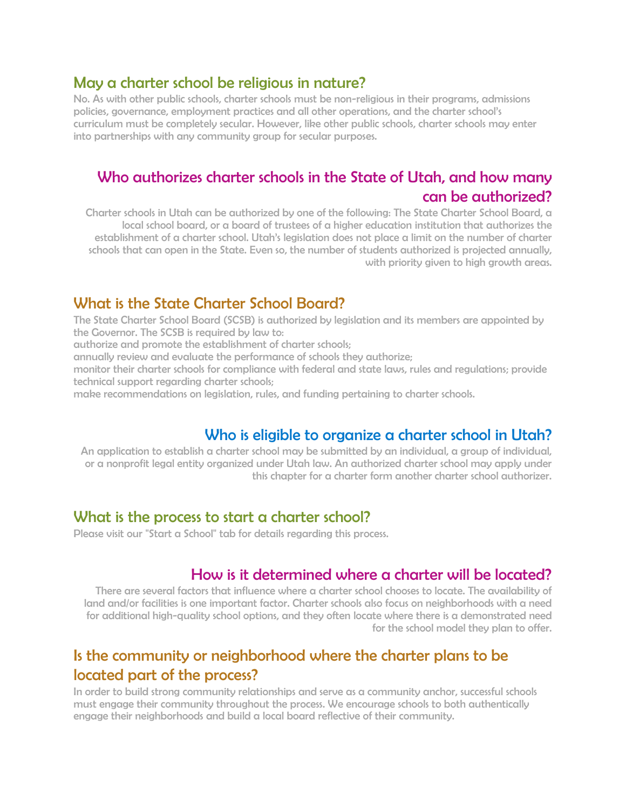#### May a charter school be religious in nature?

No. As with other public schools, charter schools must be non-religious in their programs, admissions policies, governance, employment practices and all other operations, and the charter school's curriculum must be completely secular. However, like other public schools, charter schools may enter into partnerships with any community group for secular purposes.

# Who authorizes charter schools in the State of Utah, and how many can be authorized?

Charter schools in Utah can be authorized by one of the following: The State Charter School Board, a local school board, or a board of trustees of a higher education institution that authorizes the establishment of a charter school. Utah's legislation does not place a limit on the number of charter schools that can open in the State. Even so, the number of students authorized is projected annually, with priority given to high growth areas.

#### What is the State Charter School Board?

The State Charter School Board (SCSB) is authorized by legislation and its members are appointed by the Governor. The SCSB is required by law to:

authorize and promote the establishment of charter schools;

annually review and evaluate the performance of schools they authorize;

monitor their charter schools for compliance with federal and state laws, rules and regulations; provide technical support regarding charter schools;

make recommendations on legislation, rules, and funding pertaining to charter schools.

### Who is eligible to organize a charter school in Utah?

An application to establish a charter school may be submitted by an individual, a group of individual, or a nonprofit legal entity organized under Utah law. An authorized charter school may apply under this chapter for a charter form another charter school authorizer.

#### What is the process to start a charter school?

Please visit our "Start a School" tab for details regarding this process.

#### How is it determined where a charter will be located?

There are several factors that influence where a charter school chooses to locate. The availability of land and/or facilities is one important factor. Charter schools also focus on neighborhoods with a need for additional high-quality school options, and they often locate where there is a demonstrated need for the school model they plan to offer.

# Is the community or neighborhood where the charter plans to be located part of the process?

In order to build strong community relationships and serve as a community anchor, successful schools must engage their community throughout the process. We encourage schools to both authentically engage their neighborhoods and build a local board reflective of their community.